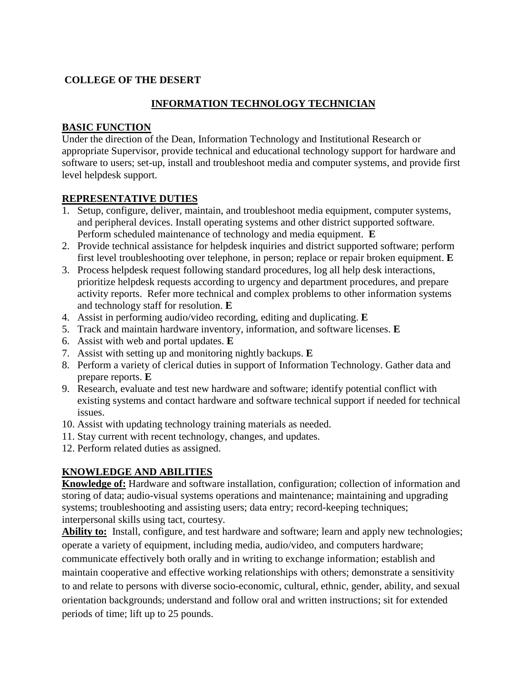## **COLLEGE OF THE DESERT**

## **INFORMATION TECHNOLOGY TECHNICIAN**

#### **BASIC FUNCTION**

Under the direction of the Dean, Information Technology and Institutional Research or appropriate Supervisor, provide technical and educational technology support for hardware and software to users; set-up, install and troubleshoot media and computer systems, and provide first level helpdesk support.

#### **REPRESENTATIVE DUTIES**

- 1. Setup, configure, deliver, maintain, and troubleshoot media equipment, computer systems, and peripheral devices. Install operating systems and other district supported software. Perform scheduled maintenance of technology and media equipment. **E**
- 2. Provide technical assistance for helpdesk inquiries and district supported software; perform first level troubleshooting over telephone, in person; replace or repair broken equipment. **E**
- 3. Process helpdesk request following standard procedures, log all help desk interactions, prioritize helpdesk requests according to urgency and department procedures, and prepare activity reports. Refer more technical and complex problems to other information systems and technology staff for resolution. **E**
- 4. Assist in performing audio/video recording, editing and duplicating. **E**
- 5. Track and maintain hardware inventory, information, and software licenses. **E**
- 6. Assist with web and portal updates. **E**
- 7. Assist with setting up and monitoring nightly backups. **E**
- 8. Perform a variety of clerical duties in support of Information Technology. Gather data and prepare reports. **E**
- 9. Research, evaluate and test new hardware and software; identify potential conflict with existing systems and contact hardware and software technical support if needed for technical issues.
- 10. Assist with updating technology training materials as needed.
- 11. Stay current with recent technology, changes, and updates.
- 12. Perform related duties as assigned.

# **KNOWLEDGE AND ABILITIES**

**Knowledge of:** Hardware and software installation, configuration; collection of information and storing of data; audio-visual systems operations and maintenance; maintaining and upgrading systems; troubleshooting and assisting users; data entry; record-keeping techniques; interpersonal skills using tact, courtesy.

**Ability to:** Install, configure, and test hardware and software; learn and apply new technologies; operate a variety of equipment, including media, audio/video, and computers hardware; communicate effectively both orally and in writing to exchange information; establish and maintain cooperative and effective working relationships with others; demonstrate a sensitivity to and relate to persons with diverse socio-economic, cultural, ethnic, gender, ability, and sexual orientation backgrounds; understand and follow oral and written instructions; sit for extended periods of time; lift up to 25 pounds.